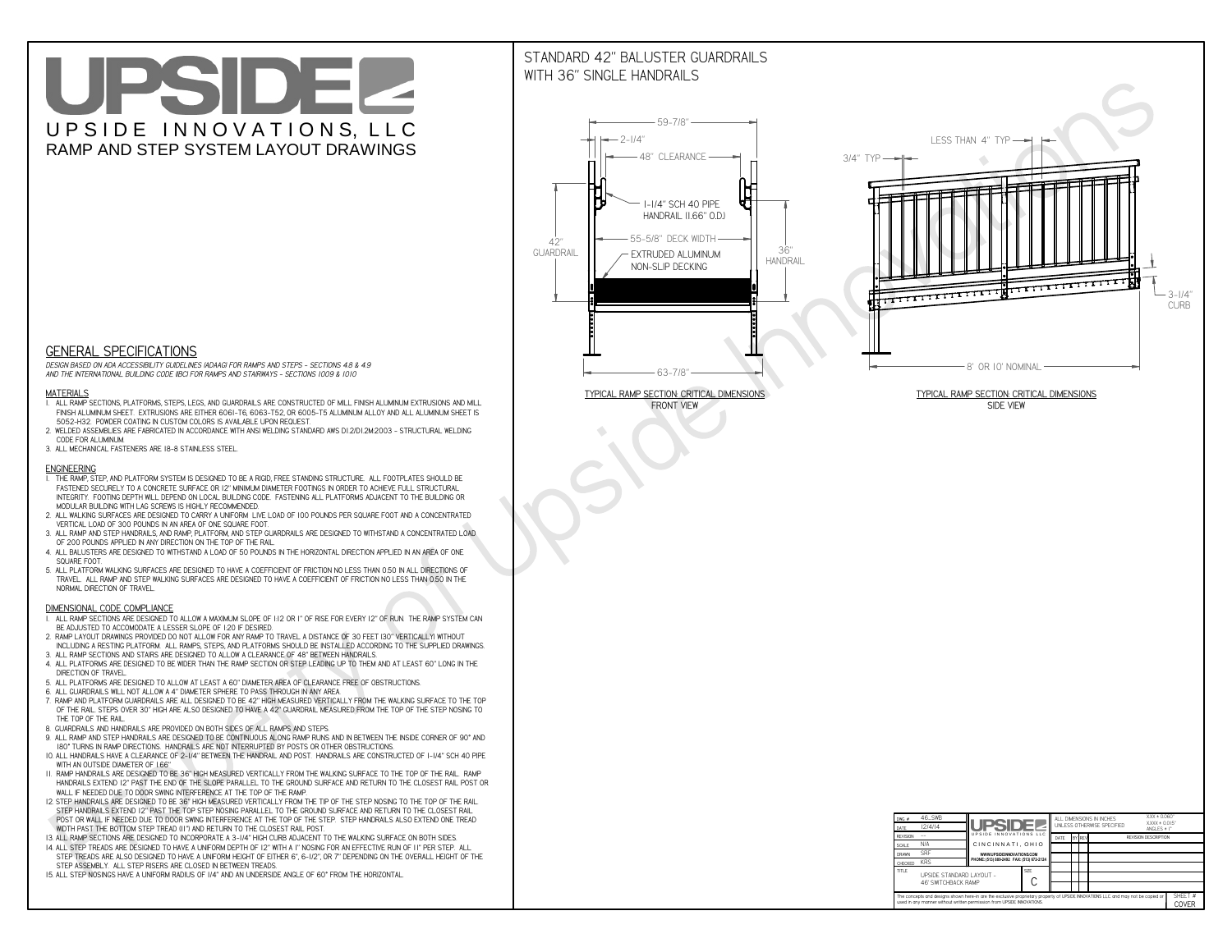# UPSIDEL UPSIDE INNOVATIONS, LLC RAMP AND STEP SYSTEM LAYOUT DRAWINGS

## STANDARD 42" BALUSTER GUARDRAILSWITH 36" SINGLE HANDRAILS

**FRONT VIEW**





**GENERAL SPECIFICATIONS**

 *DESIGN BASED ON ADA ACCESSIBILITY GUIDELINES (ADAAG) FOR RAMPS AND STEPS - SECTIONS 4.8 & 4.9AND THE INTERNATIONAL BUILDING CODE (IBC) FOR RAMPS AND STAIRWAYS - SECTIONS 1009 & 1010*

#### **MATERIALS**

- **1. ALL RAMP SECTIONS, PLATFORMS, STEPS, LEGS, AND GUARDRAILS ARE CONSTRUCTED OF MILL FINISH ALUMINUM EXTRUSIONS AND MILL FINISH ALUMINUM SHEET. EXTRUSIONS ARE EITHER 6061-T6, 6063-T52, OR 6005-T5 ALUMINUM ALLOY AND ALL ALUMINUM SHEET IS 5052-H32. POWDER COATING IN CUSTOM COLORS IS AVAILABLE UPON REQUEST.**
- **2. WELDED ASSEMBLIES ARE FABRICATED IN ACCORDANCE WITH ANSI WELDING STANDARD AWS D1.2/D1.2M:2003 STRUCTURAL WELDING CODE FOR ALUMINUM.**
- **3. ALL MECHANICAL FASTENERS ARE 18-8 STAINLESS STEEL.**

#### **ENGINEERING**

- **1. THE RAMP, STEP, AND PLATFORM SYSTEM IS DESIGNED TO BE A RIGID, FREE STANDING STRUCTURE. ALL FOOTPLATES SHOULD BE FASTENED SECURELY TO A CONCRETE SURFACE OR 12" MINIMUM DIAMETER FOOTINGS IN ORDER TO ACHIEVE FULL STRUCTURAL INTEGRITY. FOOTING DEPTH WILL DEPEND ON LOCAL BUILDING CODE. FASTENING ALL PLATFORMS ADJACENT TO THE BUILDING OR MODULAR BUILDING WITH LAG SCREWS IS HIGHLY RECOMMENDED.**
- **2. ALL WALKING SURFACES ARE DESIGNED TO CARRY A UNIFORM LIVE LOAD OF 100 POUNDS PER SQUARE FOOT AND A CONCENTRATED VERTICAL LOAD OF 300 POUNDS IN AN AREA OF ONE SQUARE FOOT.**
- **3. ALL RAMP AND STEP HANDRAILS, AND RAMP, PLATFORM, AND STEP GUARDRAILS ARE DESIGNED TO WITHSTAND A CONCENTRATED LOAD OF 200 POUNDS APPLIED IN ANY DIRECTION ON THE TOP OF THE RAIL.**
- **4. ALL BALUSTERS ARE DESIGNED TO WITHSTAND A LOAD OF 50 POUNDS IN THE HORIZONTAL DIRECTION APPLIED IN AN AREA OF ONE SQUARE FOOT.**
- **5. ALL PLATFORM WALKING SURFACES ARE DESIGNED TO HAVE A COEFFICIENT OF FRICTION NO LESS THAN 0.50 IN ALL DIRECTIONS OF TRAVEL. ALL RAMP AND STEP WALKING SURFACES ARE DESIGNED TO HAVE A COEFFICIENT OF FRICTION NO LESS THAN 0.50 IN THE NORMAL DIRECTION OF TRAVEL.**

| $DWG.$ #<br>DATE                                                                                                                                                                                            | 46_SWB<br>12/4/14                                      | <b>UPSIDE!</b>                            |             | ALL DIMENSIONS IN INCHES<br>UNLESS OTHERWISE SPECIFIED |  |        |                             | $XXX = 0.060"$<br>$XXX \pm 0.015$ "<br>ANGLES $\pm$ 1° |                         |
|-------------------------------------------------------------------------------------------------------------------------------------------------------------------------------------------------------------|--------------------------------------------------------|-------------------------------------------|-------------|--------------------------------------------------------|--|--------|-----------------------------|--------------------------------------------------------|-------------------------|
| <b>REVISION</b>                                                                                                                                                                                             |                                                        | UPSIDE INNOVATIONS LLC                    |             | DATE                                                   |  | BY REV | <b>REVISION DESCRIPTION</b> |                                                        |                         |
| <b>SCALE</b>                                                                                                                                                                                                | N/A                                                    | CINCINNATI, OHIO                          |             |                                                        |  |        |                             |                                                        |                         |
| <b>DRAWN</b>                                                                                                                                                                                                | <b>SRF</b>                                             | WWW.UPSIDEINNOVATIONS.COM                 |             |                                                        |  |        |                             |                                                        |                         |
| <b>CHECKED</b>                                                                                                                                                                                              | <b>KRS</b>                                             | PHONE: (513) 889-2492 FAX: (513) 672-2124 |             |                                                        |  |        |                             |                                                        |                         |
| <b>TITLE</b>                                                                                                                                                                                                | UPSIDE STANDARD LAYOUT -<br><b>46' SWITCHBACK RAMP</b> |                                           | <b>SIZE</b> |                                                        |  |        |                             |                                                        |                         |
| The concepts and designs shown here-in are the exclusive proprietary property of UPSIDE INNOVATIONS LLC. and may not be copied or<br>used in any manner without written permission from UPSIDE INNOVATIONS. |                                                        |                                           |             |                                                        |  |        |                             |                                                        | SHFFT #<br><b>COVER</b> |

### **DIMENSIONAL CODE COMPLIANCE**

- **1. ALL RAMP SECTIONS ARE DESIGNED TO ALLOW A MAXIMUM SLOPE OF 1:12 OR 1" OF RISE FOR EVERY 12" OF RUN. THE RAMP SYSTEM CAN BE ADJUSTED TO ACCOMODATE A LESSER SLOPE OF 1:20 IF DESIRED.**
- **2. RAMP LAYOUT DRAWINGS PROVIDED DO NOT ALLOW FOR ANY RAMP TO TRAVEL A DISTANCE OF 30 FEET (30" VERTICALLY) WITHOUT INCLUDING A RESTING PLATFORM. ALL RAMPS, STEPS, AND PLATFORMS SHOULD BE INSTALLED ACCORDING TO THE SUPPLIED DRAWINGS.**
- **3. ALL RAMP SECTIONS AND STAIRS ARE DESIGNED TO ALLOW A CLEARANCE OF 48" BETWEEN HANDRAILS.**
- **4. ALL PLATFORMS ARE DESIGNED TO BE WIDER THAN THE RAMP SECTION OR STEP LEADING UP TO THEM AND AT LEAST 60" LONG IN THE DIRECTION OF TRAVEL.**
- **5. ALL PLATFORMS ARE DESIGNED TO ALLOW AT LEAST A 60" DIAMETER AREA OF CLEARANCE FREE OF OBSTRUCTIONS.**
- **6. ALL GUARDRAILS WILL NOT ALLOW A 4" DIAMETER SPHERE TO PASS THROUGH IN ANY AREA.**
- **7. RAMP AND PLATFORM GUARDRAILS ARE ALL DESIGNED TO BE 42" HIGH MEASURED VERTICALLY FROM THE WALKING SURFACE TO THE TOP OF THE RAIL. STEPS OVER 30" HIGH ARE ALSO DESIGNED TO HAVE A 42" GUARDRAIL MEASURED FROM THE TOP OF THE STEP NOSING TO THE TOP OF THE RAIL.**
- **8. GUARDRAILS AND HANDRAILS ARE PROVIDED ON BOTH SIDES OF ALL RAMPS AND STEPS.**
- **9. ALL RAMP AND STEP HANDRAILS ARE DESIGNED TO BE CONTINUOUS ALONG RAMP RUNS AND IN BETWEEN THE INSIDE CORNER OF 90° AND 180° TURNS IN RAMP DIRECTIONS. HANDRAILS ARE NOT INTERRUPTED BY POSTS OR OTHER OBSTRUCTIONS.**
- **10. ALL HANDRAILS HAVE A CLEARANCE OF 2-1/4" BETWEEN THE HANDRAIL AND POST. HANDRAILS ARE CONSTRUCTED OF 1-1/4" SCH 40 PIPE WITH AN OUTSIDE DIAMETER OF 1.66"**
- **11. RAMP HANDRAILS ARE DESIGNED TO BE 36" HIGH MEASURED VERTICALLY FROM THE WALKING SURFACE TO THE TOP OF THE RAIL. RAMP HANDRAILS EXTEND 12" PAST THE END OF THE SLOPE PARALLEL TO THE GROUND SURFACE AND RETURN TO THE CLOSEST RAIL POST OR WALL IF NEEDED DUE TO DOOR SWING INTERFERENCE AT THE TOP OF THE RAMP.**
- **12. STEP HANDRAILS ARE DESIGNED TO BE 36" HIGH MEASURED VERTICALLY FROM THE TIP OF THE STEP NOSING TO THE TOP OF THE RAIL. STEP HANDRAILS EXTEND 12" PAST THE TOP STEP NOSING PARALLEL TO THE GROUND SURFACE AND RETURN TO THE CLOSEST RAIL POST OR WALL IF NEEDED DUE TO DOOR SWING INTERFERENCE AT THE TOP OF THE STEP. STEP HANDRAILS ALSO EXTEND ONE TREAD**
- **WIDTH PAST THE BOTTOM STEP TREAD (11") AND RETURN TO THE CLOSEST RAIL POST.**
- **13. ALL RAMP SECTIONS ARE DESIGNED TO INCORPORATE A 3-1/4" HIGH CURB ADJACENT TO THE WALKING SURFACE ON BOTH SIDES.**
- **14. ALL STEP TREADS ARE DESIGNED TO HAVE A UNIFORM DEPTH OF 12" WITH A 1" NOSING FOR AN EFFECTIVE RUN OF 11" PER STEP. ALL STEP TREADS ARE ALSO DESIGNED TO HAVE A UNIFORM HEIGHT OF EITHER 6", 6-1/2", OR 7" DEPENDING ON THE OVERALL HEIGHT OF THE STEP ASSEMBLY. ALL STEP RISERS ARE CLOSED IN BETWEEN TREADS.**
- **15. ALL STEP NOSINGS HAVE A UNIFORM RADIUS OF 1/4" AND AN UNDERSIDE ANGLE OF 60° FROM THE HORIZONTAL.**